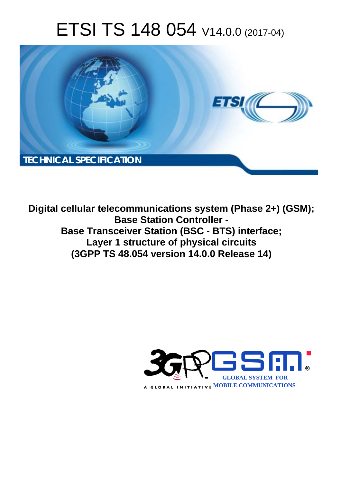# ETSI TS 148 054 V14.0.0 (2017-04)



**Digital cellular telecommunications system (Phase 2+) (GSM); Base Station Controller - Base Transceiver Station (BSC - BTS) interface; Layer 1 structure of physical circuits (3GPP TS 48.054 version 14.0.0 Release 14)** 

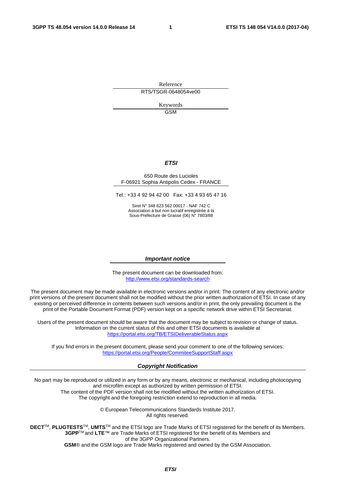Reference RTS/TSGR-0648054ve00

> Keywords GSM

### *ETSI*

#### 650 Route des Lucioles F-06921 Sophia Antipolis Cedex - FRANCE

Tel.: +33 4 92 94 42 00 Fax: +33 4 93 65 47 16

Siret N° 348 623 562 00017 - NAF 742 C Association à but non lucratif enregistrée à la Sous-Préfecture de Grasse (06) N° 7803/88

### *Important notice*

The present document can be downloaded from: <http://www.etsi.org/standards-search>

The present document may be made available in electronic versions and/or in print. The content of any electronic and/or print versions of the present document shall not be modified without the prior written authorization of ETSI. In case of any existing or perceived difference in contents between such versions and/or in print, the only prevailing document is the print of the Portable Document Format (PDF) version kept on a specific network drive within ETSI Secretariat.

Users of the present document should be aware that the document may be subject to revision or change of status. Information on the current status of this and other ETSI documents is available at <https://portal.etsi.org/TB/ETSIDeliverableStatus.aspx>

If you find errors in the present document, please send your comment to one of the following services: <https://portal.etsi.org/People/CommiteeSupportStaff.aspx>

#### *Copyright Notification*

No part may be reproduced or utilized in any form or by any means, electronic or mechanical, including photocopying and microfilm except as authorized by written permission of ETSI.

The content of the PDF version shall not be modified without the written authorization of ETSI. The copyright and the foregoing restriction extend to reproduction in all media.

> © European Telecommunications Standards Institute 2017. All rights reserved.

**DECT**TM, **PLUGTESTS**TM, **UMTS**TM and the ETSI logo are Trade Marks of ETSI registered for the benefit of its Members. **3GPP**TM and **LTE**™ are Trade Marks of ETSI registered for the benefit of its Members and of the 3GPP Organizational Partners.

**GSM**® and the GSM logo are Trade Marks registered and owned by the GSM Association.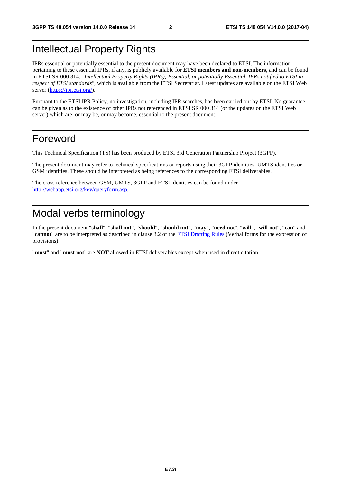# Intellectual Property Rights

IPRs essential or potentially essential to the present document may have been declared to ETSI. The information pertaining to these essential IPRs, if any, is publicly available for **ETSI members and non-members**, and can be found in ETSI SR 000 314: *"Intellectual Property Rights (IPRs); Essential, or potentially Essential, IPRs notified to ETSI in respect of ETSI standards"*, which is available from the ETSI Secretariat. Latest updates are available on the ETSI Web server ([https://ipr.etsi.org/\)](https://ipr.etsi.org/).

Pursuant to the ETSI IPR Policy, no investigation, including IPR searches, has been carried out by ETSI. No guarantee can be given as to the existence of other IPRs not referenced in ETSI SR 000 314 (or the updates on the ETSI Web server) which are, or may be, or may become, essential to the present document.

### Foreword

This Technical Specification (TS) has been produced by ETSI 3rd Generation Partnership Project (3GPP).

The present document may refer to technical specifications or reports using their 3GPP identities, UMTS identities or GSM identities. These should be interpreted as being references to the corresponding ETSI deliverables.

The cross reference between GSM, UMTS, 3GPP and ETSI identities can be found under [http://webapp.etsi.org/key/queryform.asp.](http://webapp.etsi.org/key/queryform.asp)

# Modal verbs terminology

In the present document "**shall**", "**shall not**", "**should**", "**should not**", "**may**", "**need not**", "**will**", "**will not**", "**can**" and "**cannot**" are to be interpreted as described in clause 3.2 of the [ETSI Drafting Rules](https://portal.etsi.org/Services/editHelp!/Howtostart/ETSIDraftingRules.aspx) (Verbal forms for the expression of provisions).

"**must**" and "**must not**" are **NOT** allowed in ETSI deliverables except when used in direct citation.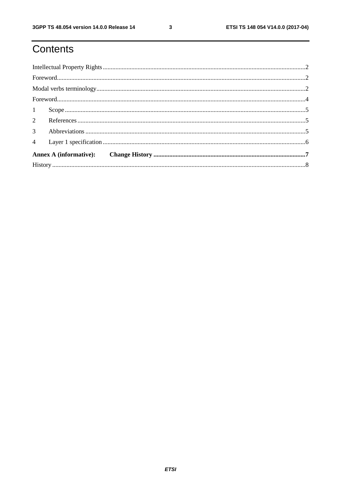# Contents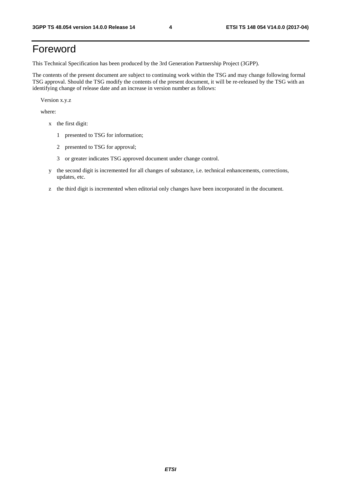# Foreword

This Technical Specification has been produced by the 3rd Generation Partnership Project (3GPP).

The contents of the present document are subject to continuing work within the TSG and may change following formal TSG approval. Should the TSG modify the contents of the present document, it will be re-released by the TSG with an identifying change of release date and an increase in version number as follows:

Version x.y.z

where:

- x the first digit:
	- 1 presented to TSG for information;
	- 2 presented to TSG for approval;
	- 3 or greater indicates TSG approved document under change control.
- y the second digit is incremented for all changes of substance, i.e. technical enhancements, corrections, updates, etc.
- z the third digit is incremented when editorial only changes have been incorporated in the document.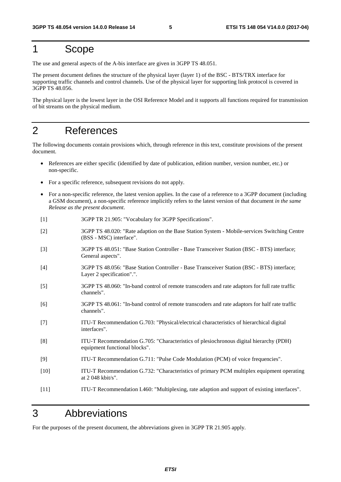### 1 Scope

The use and general aspects of the A-bis interface are given in 3GPP TS 48.051.

The present document defines the structure of the physical layer (layer 1) of the BSC - BTS/TRX interface for supporting traffic channels and control channels. Use of the physical layer for supporting link protocol is covered in 3GPP TS 48.056.

The physical layer is the lowest layer in the OSI Reference Model and it supports all functions required for transmission of bit streams on the physical medium.

# 2 References

The following documents contain provisions which, through reference in this text, constitute provisions of the present document.

- References are either specific (identified by date of publication, edition number, version number, etc.) or non-specific.
- For a specific reference, subsequent revisions do not apply.
- For a non-specific reference, the latest version applies. In the case of a reference to a 3GPP document (including a GSM document), a non-specific reference implicitly refers to the latest version of that document *in the same Release as the present document*.
- [1] 3GPP TR 21.905: "Vocabulary for 3GPP Specifications".
- [2] 3GPP TS 48.020: "Rate adaption on the Base Station System Mobile-services Switching Centre (BSS - MSC) interface".
- [3] 3GPP TS 48.051: "Base Station Controller Base Transceiver Station (BSC BTS) interface; General aspects".
- [4] 3GPP TS 48.056: "Base Station Controller Base Transceiver Station (BSC BTS) interface; Layer 2 specification".".
- [5] 3GPP TS 48.060: "In-band control of remote transcoders and rate adaptors for full rate traffic channels".
- [6] 3GPP TS 48.061: "In-band control of remote transcoders and rate adaptors for half rate traffic channels".
- [7] ITU-T Recommendation G.703: "Physical/electrical characteristics of hierarchical digital interfaces".
- [8] ITU-T Recommendation G.705: "Characteristics of plesiochronous digital hierarchy (PDH) equipment functional blocks".
- [9] ITU-T Recommendation G.711: "Pulse Code Modulation (PCM) of voice frequencies".
- [10] ITU-T Recommendation G.732: "Characteristics of primary PCM multiplex equipment operating at 2 048 kbit/s".
- [11] ITU-T Recommendation I.460: "Multiplexing, rate adaption and support of existing interfaces".

## 3 Abbreviations

For the purposes of the present document, the abbreviations given in 3GPP TR 21.905 apply.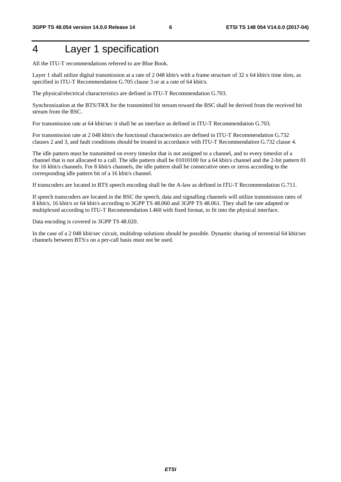# 4 Layer 1 specification

All the ITU-T recommendations referred to are Blue Book.

Layer 1 shall utilize digital transmission at a rate of 2 048 kbit/s with a frame structure of 32 x 64 kbit/s time slots, as specified in ITU-T Recommendation G.705 clause 3 or at a rate of 64 kbit/s.

The physical/electrical characteristics are defined in ITU-T Recommendation G.703.

Synchronization at the BTS/TRX for the transmitted bit stream toward the BSC shall be derived from the received bit stream from the BSC.

For transmission rate at 64 kbit/sec it shall be an interface as defined in ITU-T Recommendation G.703.

For transmission rate at 2 048 kbit/s the functional characteristics are defined in ITU-T Recommendation G.732 clauses 2 and 3, and fault conditions should be treated in accordance with ITU-T Recommendation G.732 clause 4.

The idle pattern must be transmitted on every timeslot that is not assigned to a channel, and to every timeslot of a channel that is not allocated to a call. The idle pattern shall be 01010100 for a 64 kbit/s channel and the 2-bit pattern 01 for 16 kbit/s channels. For 8 kbit/s channels, the idle pattern shall be consecutive ones or zeros according to the corresponding idle pattern bit of a 16 kbit/s channel.

If transcoders are located in BTS speech encoding shall be the A-law as defined in ITU-T Recommendation G.711.

If speech transcoders are located in the BSC the speech, data and signalling channels will utilize transmission rates of 8 kbit/s, 16 kbit/s or 64 kbit/s according to 3GPP TS 48.060 and 3GPP TS 48.061. They shall be rate adapted or multiplexed according to ITU-T Recommendation I.460 with fixed format, to fit into the physical interface.

Data encoding is covered in 3GPP TS 48.020.

In the case of a 2 048 kbit/sec circuit, multidrop solutions should be possible. Dynamic sharing of terrestrial 64 kbit/sec channels between BTS:s on a per-call basis must not be used.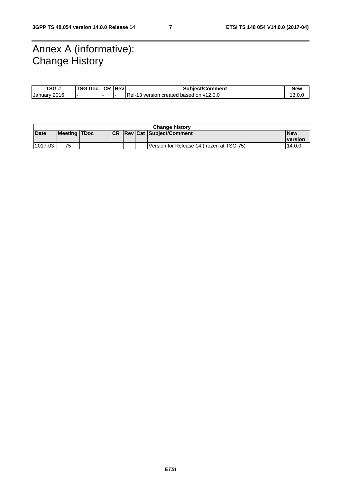# Annex A (informative): Change History

| TSG #                        | <b>TSG Doc.I.</b> | <b>CR</b> | ⊺lRev⊪ | <b>Subiect/Comment</b>                              | <b>New</b>    |
|------------------------------|-------------------|-----------|--------|-----------------------------------------------------|---------------|
| 2016<br>January <sup>r</sup> |                   |           |        | <b>Rel-13</b><br>3 version created based on v12.0.0 | 13<br>$\cdot$ |

| <b>Change history</b> |              |  |      |  |  |                                           |                |
|-----------------------|--------------|--|------|--|--|-------------------------------------------|----------------|
| <b>Date</b>           | Meeting TDoc |  | ICR. |  |  | <b>Revicat Subject/Comment</b>            | l New          |
|                       |              |  |      |  |  |                                           | <b>version</b> |
| 2017-03               | 75           |  |      |  |  | Version for Release 14 (frozen at TSG-75) | 14.0.0         |